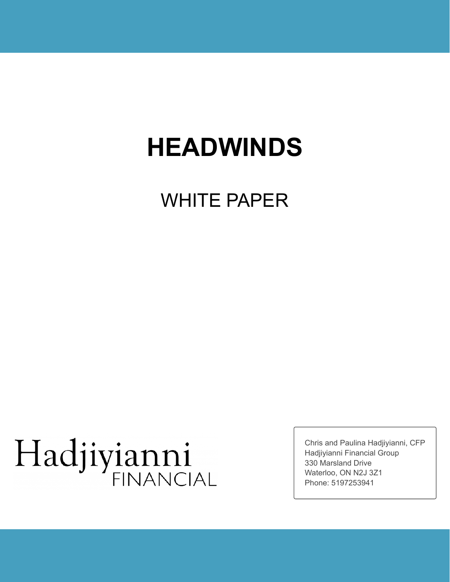# **HEADWINDS**

# WHITE PAPER

# Hadjiyianni

Chris and Paulina Hadjiyianni, CFP Hadjiyianni Financial Group 330 Marsland Drive Waterloo, ON N2J 3Z1 Phone: 5197253941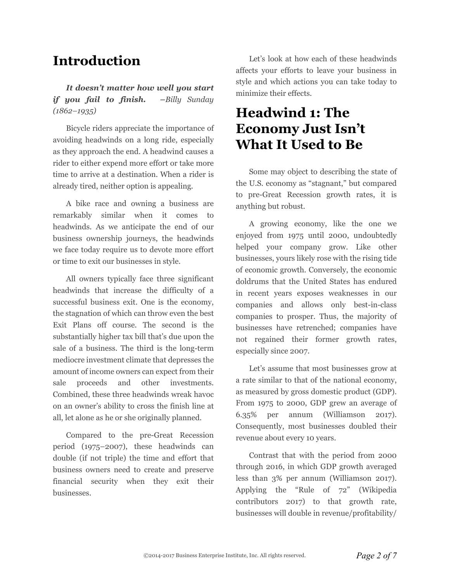# **Introduction**

*It doesn't matter how well you start if you fail to finish. –Billy Sunday (1862–1935)*

Bicycle riders appreciate the importance of avoiding headwinds on a long ride, especially as they approach the end. A headwind causes a rider to either expend more effort or take more time to arrive at a destination. When a rider is already tired, neither option is appealing.

A bike race and owning a business are remarkably similar when it comes to headwinds. As we anticipate the end of our business ownership journeys, the headwinds we face today require us to devote more effort or time to exit our businesses in style.

All owners typically face three significant headwinds that increase the difficulty of a successful business exit. One is the economy, the stagnation of which can throw even the best Exit Plans off course. The second is the substantially higher tax bill that's due upon the sale of a business. The third is the long-term mediocre investment climate that depresses the amount of income owners can expect from their sale proceeds and other investments. Combined, these three headwinds wreak havoc on an owner's ability to cross the finish line at all, let alone as he or she originally planned.

Compared to the pre-Great Recession period (1975–2007), these headwinds can double (if not triple) the time and effort that business owners need to create and preserve financial security when they exit their businesses.

Let's look at how each of these headwinds affects your efforts to leave your business in style and which actions you can take today to minimize their effects.

# **Headwind 1: The Economy Just Isn't What It Used to Be**

Some may object to describing the state of the U.S. economy as "stagnant," but compared to pre-Great Recession growth rates, it is anything but robust.

A growing economy, like the one we enjoyed from 1975 until 2000, undoubtedly helped your company grow. Like other businesses, yours likely rose with the rising tide of economic growth. Conversely, the economic doldrums that the United States has endured in recent years exposes weaknesses in our companies and allows only best-in-class companies to prosper. Thus, the majority of businesses have retrenched; companies have not regained their former growth rates, especially since 2007.

Let's assume that most businesses grow at a rate similar to that of the national economy, as measured by gross domestic product (GDP). From 1975 to 2000, GDP grew an average of 6.35% per annum (Williamson 2017). Consequently, most businesses doubled their revenue about every 10 years.

Contrast that with the period from 2000 through 2016, in which GDP growth averaged less than 3% per annum (Williamson 2017). Applying the "Rule of 72" (Wikipedia contributors 2017) to that growth rate, businesses will double in revenue/profitability/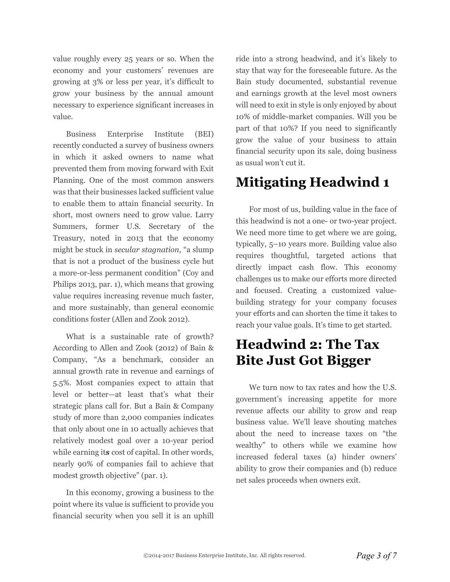value roughly every 25 years or so. When the economy and your customers' revenues are growing at 3% or less per year, it's difficult to grow your business by the annual amount necessary to experience significant increases in value.

Business Enterprise Institute (BEI) recently conducted a survey of business owners in which it asked owners to name what prevented them from moving forward with Exit Planning. One of the most common answers was that their businesses lacked sufficient value to enable them to attain financial security. In short, most owners need to grow value. Larry Summers, former U.S. Secretary of the Treasury, noted in 2013 that the economy might be stuck in *secular stagnation*, "a slump that is not a product of the business cycle but a more-or-less permanent condition" (Coy and Philips 2013, par. 1), which means that growing value requires increasing revenue much faster, and more sustainably, than general economic conditions foster (Allen and Zook 2012).

What is a sustainable rate of growth? According to Allen and Zook (2012) of Bain & Company, "As a benchmark, consider an annual growth rate in revenue and earnings of 5.5%. Most companies expect to attain that level or better—at least that's what their strategic plans call for. But a Bain & Company study of more than 2,000 companies indicates that only about one in 10 actually achieves that relatively modest goal over a 10-year period while earning it*s* cost of capital. In other words, nearly 90% of companies fail to achieve that modest growth objective" (par. 1).

In this economy, growing a business to the point where its value is sufficient to provide you financial security when you sell it is an uphill

ride into a strong headwind, and it's likely to stay that way for the foreseeable future. As the Bain study documented, substantial revenue and earnings growth at the level most owners will need to exit in style is only enjoyed by about 10% of middle-market companies. Will you be part of that 10%? If you need to significantly grow the value of your business to attain financial security upon its sale, doing business as usual won't cut it.

# **Mitigating Headwind 1**

For most of us, building value in the face of this headwind is not a one- or two-year project. We need more time to get where we are going, typically, 5–10 years more. Building value also requires thoughtful, targeted actions that directly impact cash flow. This economy challenges us to make our efforts more directed and focused. Creating a customized valuebuilding strategy for your company focuses your efforts and can shorten the time it takes to reach your value goals. It's time to get started.

# **Headwind 2: The Tax Bite Just Got Bigger**

We turn now to tax rates and how the U.S. government's increasing appetite for more revenue affects our ability to grow and reap business value. We'll leave shouting matches about the need to increase taxes on "the wealthy" to others while we examine how increased federal taxes (a) hinder owners' ability to grow their companies and (b) reduce net sales proceeds when owners exit.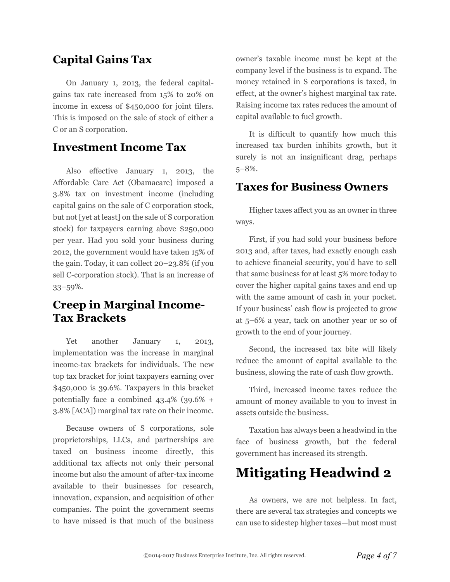#### **Capital Gains Tax**

On January 1, 2013, the federal capitalgains tax rate increased from 15% to 20% on income in excess of \$450,000 for joint filers. This is imposed on the sale of stock of either a C or an S corporation.

#### **Investment Income Tax**

Also effective January 1, 2013, the Affordable Care Act (Obamacare) imposed a 3.8% tax on investment income (including capital gains on the sale of C corporation stock, but not [yet at least] on the sale of S corporation stock) for taxpayers earning above \$250,000 per year. Had you sold your business during 2012, the government would have taken 15% of the gain. Today, it can collect 20–23.8% (if you sell C-corporation stock). That is an increase of 33–59%.

#### **Creep in Marginal Income-Tax Brackets**

Yet another January 1, 2013, implementation was the increase in marginal income-tax brackets for individuals. The new top tax bracket for joint taxpayers earning over \$450,000 is 39.6%. Taxpayers in this bracket potentially face a combined 43.4% (39.6% + 3.8% [ACA]) marginal tax rate on their income.

Because owners of S corporations, sole proprietorships, LLCs, and partnerships are taxed on business income directly, this additional tax affects not only their personal income but also the amount of after-tax income available to their businesses for research, innovation, expansion, and acquisition of other companies. The point the government seems to have missed is that much of the business

owner's taxable income must be kept at the company level if the business is to expand. The money retained in S corporations is taxed, in effect, at the owner's highest marginal tax rate. Raising income tax rates reduces the amount of capital available to fuel growth.

It is difficult to quantify how much this increased tax burden inhibits growth, but it surely is not an insignificant drag, perhaps 5–8%.

#### **Taxes for Business Owners**

Higher taxes affect you as an owner in three ways.

First, if you had sold your business before 2013 and, after taxes, had exactly enough cash to achieve financial security, you'd have to sell that same business for at least 5% more today to cover the higher capital gains taxes and end up with the same amount of cash in your pocket. If your business' cash flow is projected to grow at 5–6% a year, tack on another year or so of growth to the end of your journey.

Second, the increased tax bite will likely reduce the amount of capital available to the business, slowing the rate of cash flow growth.

Third, increased income taxes reduce the amount of money available to you to invest in assets outside the business.

Taxation has always been a headwind in the face of business growth, but the federal government has increased its strength.

# **Mitigating Headwind 2**

As owners, we are not helpless. In fact, there are several tax strategies and concepts we can use to sidestep higher taxes—but most must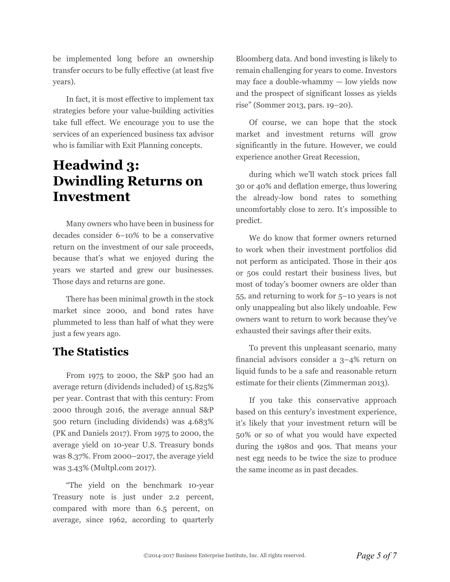be implemented long before an ownership transfer occurs to be fully effective (at least five years).

In fact, it is most effective to implement tax strategies before your value-building activities take full effect. We encourage you to use the services of an experienced business tax advisor who is familiar with Exit Planning concepts.

## **Headwind 3: Dwindling Returns on Investment**

Many owners who have been in business for decades consider 6–10% to be a conservative return on the investment of our sale proceeds, because that's what we enjoyed during the years we started and grew our businesses. Those days and returns are gone.

There has been minimal growth in the stock market since 2000, and bond rates have plummeted to less than half of what they were just a few years ago.

#### **The Statistics**

From 1975 to 2000, the S&P 500 had an average return (dividends included) of 15.825% per year. Contrast that with this century: From 2000 through 2016, the average annual S&P 500 return (including dividends) was 4.683% (PK and Daniels 2017). From 1975 to 2000, the average yield on 10-year U.S. Treasury bonds was 8.37%. From 2000–2017, the average yield was 3.43% (Multpl.com 2017).

"The yield on the benchmark 10-year Treasury note is just under 2.2 percent, compared with more than 6.5 percent, on average, since 1962, according to quarterly Bloomberg data. And bond investing is likely to remain challenging for years to come. Investors may face a double-whammy — low yields now and the prospect of significant losses as yields rise" (Sommer 2013, pars. 19–20).

Of course, we can hope that the stock market and investment returns will grow significantly in the future. However, we could experience another Great Recession,

during which we'll watch stock prices fall 30 or 40% and deflation emerge, thus lowering the already-low bond rates to something uncomfortably close to zero. It's impossible to predict.

We do know that former owners returned to work when their investment portfolios did not perform as anticipated. Those in their 40s or 50s could restart their business lives, but most of today's boomer owners are older than 55, and returning to work for 5–10 years is not only unappealing but also likely undoable. Few owners want to return to work because they've exhausted their savings after their exits.

To prevent this unpleasant scenario, many financial advisors consider a 3–4% return on liquid funds to be a safe and reasonable return estimate for their clients (Zimmerman 2013).

If you take this conservative approach based on this century's investment experience, it's likely that your investment return will be 50% or so of what you would have expected during the 1980s and 90s. That means your nest egg needs to be twice the size to produce the same income as in past decades.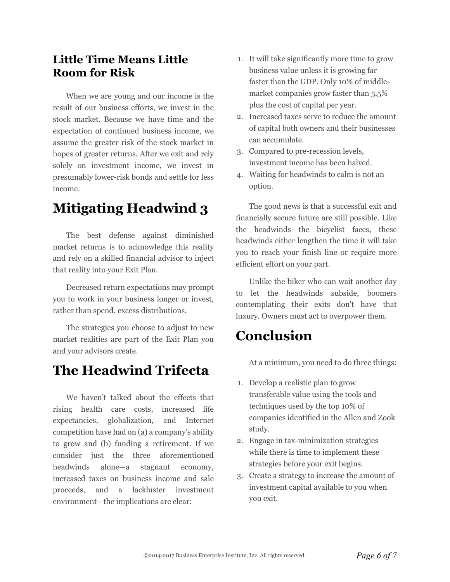#### **Little Time Means Little Room for Risk**

When we are young and our income is the result of our business efforts, we invest in the stock market. Because we have time and the expectation of continued business income, we assume the greater risk of the stock market in hopes of greater returns. After we exit and rely solely on investment income, we invest in presumably lower-risk bonds and settle for less income.

# **Mitigating Headwind 3**

The best defense against diminished market returns is to acknowledge this reality and rely on a skilled financial advisor to inject that reality into your Exit Plan.

Decreased return expectations may prompt you to work in your business longer or invest, rather than spend, excess distributions.

The strategies you choose to adjust to new market realities are part of the Exit Plan you and your advisors create.

## **The Headwind Trifecta**

We haven't talked about the effects that rising health care costs, increased life expectancies, globalization, and Internet competition have had on (a) a company's ability to grow and (b) funding a retirement. If we consider just the three aforementioned headwinds alone—a stagnant economy, increased taxes on business income and sale proceeds, and a lackluster investment environment—the implications are clear:

- 1. It will take significantly more time to grow business value unless it is growing far faster than the GDP. Only 10% of middlemarket companies grow faster than 5.5% plus the cost of capital per year.
- 2. Increased taxes serve to reduce the amount of capital both owners and their businesses can accumulate.
- 3. Compared to pre-recession levels, investment income has been halved.
- 4. Waiting for headwinds to calm is not an option.

The good news is that a successful exit and financially secure future are still possible. Like the headwinds the bicyclist faces, these headwinds either lengthen the time it will take you to reach your finish line or require more efficient effort on your part.

Unlike the biker who can wait another day to let the headwinds subside, boomers contemplating their exits don't have that luxury. Owners must act to overpower them.

# **Conclusion**

At a minimum, you need to do three things:

- 1. Develop a realistic plan to grow transferable value using the tools and techniques used by the top 10% of companies identified in the Allen and Zook study.
- 2. Engage in tax-minimization strategies while there is time to implement these strategies before your exit begins.
- 3. Create a strategy to increase the amount of investment capital available to you when you exit.